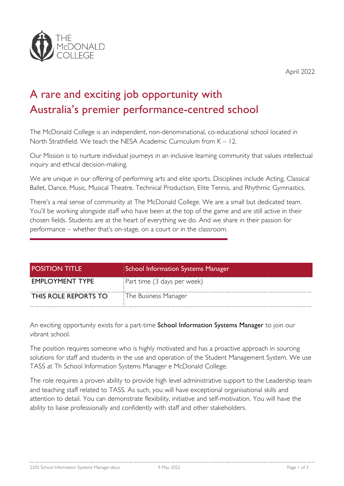

April 2022

## A rare and exciting job opportunity with Australia's premier performance-centred school

The McDonald College is an independent, non-denominational, co-educational school located in North Strathfield. We teach the NESA Academic Curriculum from  $K - 12$ .

Our Mission is to nurture individual journeys in an inclusive learning community that values intellectual inquiry and ethical decision-making.

We are unique in our offering of performing arts and elite sports. Disciplines include Acting, Classical Ballet, Dance, Music, Musical Theatre, Technical Production, Elite Tennis, and Rhythmic Gymnastics.

There's a real sense of community at The McDonald College. We are a small but dedicated team. You'll be working alongside staff who have been at the top of the game and are still active in their chosen fields. Students are at the heart of everything we do. And we share in their passion for performance – whether that's on-stage, on a court or in the classroom.

| <b>POSITION TITLE</b>  | School Information Systems Manager |
|------------------------|------------------------------------|
| <b>EMPLOYMENT TYPE</b> | Part time (3 days per week)        |
| THIS ROLE REPORTS TO   | The Business Manager               |

An exciting opportunity exists for a part-time School Information Systems Manager to join our vibrant school.

The position requires someone who is highly motivated and has a proactive approach in sourcing solutions for staff and students in the use and operation of the Student Management System. We use TASS at Th School Information Systems Manager e McDonald College.

The role requires a proven ability to provide high level administrative support to the Leadership team and teaching staff related to TASS. As such, you will have exceptional organisational skills and attention to detail. You can demonstrate flexibility, initiative and self-motivation. You will have the ability to liaise professionally and confidently with staff and other stakeholders.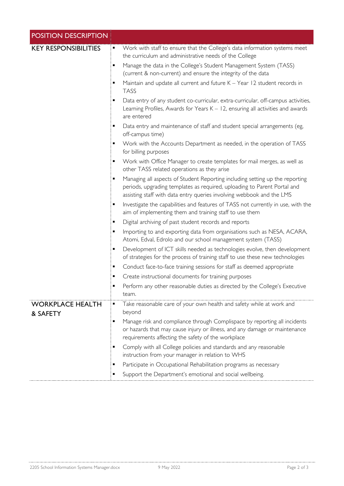| <b>POSITION DESCRIPTION</b> |                                                                                                                                                                                                                                                                                                                                                                                                                                                                                                                                                                                                                                                                                                                                                                                                                                                                                                                                                                                                                                                                                                                                                                                                                                                                                                                                                                                                                                                                                                                                                                                                                                                                                                                                                                                                                                                                                                                                      |
|-----------------------------|--------------------------------------------------------------------------------------------------------------------------------------------------------------------------------------------------------------------------------------------------------------------------------------------------------------------------------------------------------------------------------------------------------------------------------------------------------------------------------------------------------------------------------------------------------------------------------------------------------------------------------------------------------------------------------------------------------------------------------------------------------------------------------------------------------------------------------------------------------------------------------------------------------------------------------------------------------------------------------------------------------------------------------------------------------------------------------------------------------------------------------------------------------------------------------------------------------------------------------------------------------------------------------------------------------------------------------------------------------------------------------------------------------------------------------------------------------------------------------------------------------------------------------------------------------------------------------------------------------------------------------------------------------------------------------------------------------------------------------------------------------------------------------------------------------------------------------------------------------------------------------------------------------------------------------------|
| <b>KEY RESPONSIBILITIES</b> | Work with staff to ensure that the College's data information systems meet<br>٠<br>the curriculum and administrative needs of the College<br>Manage the data in the College's Student Management System (TASS)<br>٠<br>(current & non-current) and ensure the integrity of the data<br>Maintain and update all current and future K - Year 12 student records in<br><b>TASS</b><br>Data entry of any student co-curricular, extra-curricular, off-campus activities,<br>п<br>Learning Profiles, Awards for Years K - 12, ensuring all activities and awards<br>are entered<br>Data entry and maintenance of staff and student special arrangements (eg,<br>٠<br>off-campus time)<br>Work with the Accounts Department as needed, in the operation of TASS<br>٠<br>for billing purposes<br>Work with Office Manager to create templates for mail merges, as well as<br>٠<br>other TASS related operations as they arise<br>Managing all aspects of Student Reporting including setting up the reporting<br>٠<br>periods, upgrading templates as required, uploading to Parent Portal and<br>assisting staff with data entry queries involving webbook and the LMS<br>Investigate the capabilities and features of TASS not currently in use, with the<br>п<br>aim of implementing them and training staff to use them<br>Digital archiving of past student records and reports<br>п<br>Importing to and exporting data from organisations such as NESA, ACARA,<br>٠<br>Atomi, Edval, Edrolo and our school management system (TASS)<br>Development of ICT skills needed as technologies evolve, then development<br>п<br>of strategies for the process of training staff to use these new technologies<br>Conduct face-to-face training sessions for staff as deemed appropriate<br>п<br>Create instructional documents for training purposes<br>٠<br>Perform any other reasonable duties as directed by the College's Executive<br>٠ |
| <b>WORKPLACE HEALTH</b>     | team.<br>Take reasonable care of your own health and safety while at work and                                                                                                                                                                                                                                                                                                                                                                                                                                                                                                                                                                                                                                                                                                                                                                                                                                                                                                                                                                                                                                                                                                                                                                                                                                                                                                                                                                                                                                                                                                                                                                                                                                                                                                                                                                                                                                                        |
| & SAFETY                    | beyond<br>Manage risk and compliance through Complispace by reporting all incidents<br>٠                                                                                                                                                                                                                                                                                                                                                                                                                                                                                                                                                                                                                                                                                                                                                                                                                                                                                                                                                                                                                                                                                                                                                                                                                                                                                                                                                                                                                                                                                                                                                                                                                                                                                                                                                                                                                                             |
|                             | or hazards that may cause injury or illness, and any damage or maintenance<br>requirements affecting the safety of the workplace                                                                                                                                                                                                                                                                                                                                                                                                                                                                                                                                                                                                                                                                                                                                                                                                                                                                                                                                                                                                                                                                                                                                                                                                                                                                                                                                                                                                                                                                                                                                                                                                                                                                                                                                                                                                     |
|                             | Comply with all College policies and standards and any reasonable<br>٠<br>instruction from your manager in relation to WHS                                                                                                                                                                                                                                                                                                                                                                                                                                                                                                                                                                                                                                                                                                                                                                                                                                                                                                                                                                                                                                                                                                                                                                                                                                                                                                                                                                                                                                                                                                                                                                                                                                                                                                                                                                                                           |
|                             | Participate in Occupational Rehabilitation programs as necessary<br>٠                                                                                                                                                                                                                                                                                                                                                                                                                                                                                                                                                                                                                                                                                                                                                                                                                                                                                                                                                                                                                                                                                                                                                                                                                                                                                                                                                                                                                                                                                                                                                                                                                                                                                                                                                                                                                                                                |
|                             | Support the Department's emotional and social wellbeing.<br>٠                                                                                                                                                                                                                                                                                                                                                                                                                                                                                                                                                                                                                                                                                                                                                                                                                                                                                                                                                                                                                                                                                                                                                                                                                                                                                                                                                                                                                                                                                                                                                                                                                                                                                                                                                                                                                                                                        |